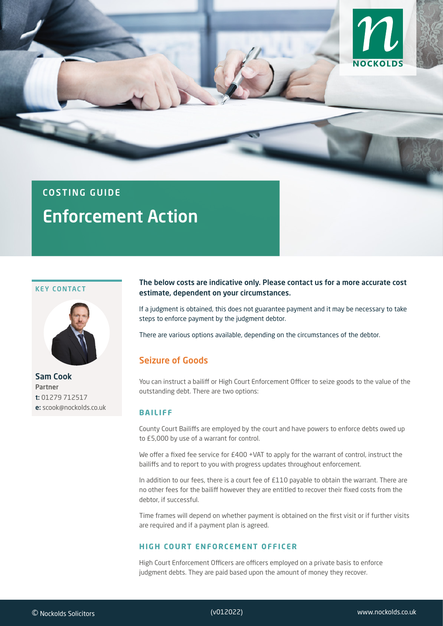

# COSTING GUIDE Enforcement Action

#### KEY CONTACT



Sam Cook Partner t: 01279 712517 e: scook@nockolds.co.uk

#### The below costs are indicative only. Please contact us for a more accurate cost estimate, dependent on your circumstances.

If a judgment is obtained, this does not guarantee payment and it may be necessary to take steps to enforce payment by the judgment debtor.

There are various options available, depending on the circumstances of the debtor.

# Seizure of Goods

You can instruct a bailiff or High Court Enforcement Officer to seize goods to the value of the outstanding debt. There are two options:

#### **BAILIFF**

County Court Bailiffs are employed by the court and have powers to enforce debts owed up to £5,000 by use of a warrant for control.

We offer a fixed fee service for £400 +VAT to apply for the warrant of control, instruct the bailiffs and to report to you with progress updates throughout enforcement.

In addition to our fees, there is a court fee of £110 payable to obtain the warrant. There are no other fees for the bailiff however they are entitled to recover their fixed costs from the debtor, if successful.

Time frames will depend on whether payment is obtained on the first visit or if further visits are required and if a payment plan is agreed.

#### **HIGH COURT ENFORCEMENT OFFICER**

High Court Enforcement Officers are officers employed on a private basis to enforce judgment debts. They are paid based upon the amount of money they recover.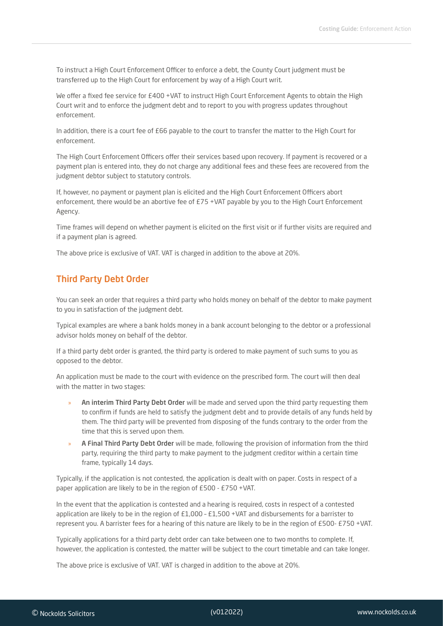To instruct a High Court Enforcement Officer to enforce a debt, the County Court judgment must be transferred up to the High Court for enforcement by way of a High Court writ.

We offer a fixed fee service for £400 +VAT to instruct High Court Enforcement Agents to obtain the High Court writ and to enforce the judgment debt and to report to you with progress updates throughout enforcement.

In addition, there is a court fee of £66 payable to the court to transfer the matter to the High Court for enforcement.

The High Court Enforcement Officers offer their services based upon recovery. If payment is recovered or a payment plan is entered into, they do not charge any additional fees and these fees are recovered from the judgment debtor subject to statutory controls.

If, however, no payment or payment plan is elicited and the High Court Enforcement Officers abort enforcement, there would be an abortive fee of £75 +VAT payable by you to the High Court Enforcement Agency.

Time frames will depend on whether payment is elicited on the first visit or if further visits are required and if a payment plan is agreed.

The above price is exclusive of VAT. VAT is charged in addition to the above at 20%.

## Third Party Debt Order

You can seek an order that requires a third party who holds money on behalf of the debtor to make payment to you in satisfaction of the judgment debt.

Typical examples are where a bank holds money in a bank account belonging to the debtor or a professional advisor holds money on behalf of the debtor.

If a third party debt order is granted, the third party is ordered to make payment of such sums to you as opposed to the debtor.

An application must be made to the court with evidence on the prescribed form. The court will then deal with the matter in two stages:

- » An interim Third Party Debt Order will be made and served upon the third party requesting them to confirm if funds are held to satisfy the judgment debt and to provide details of any funds held by them. The third party will be prevented from disposing of the funds contrary to the order from the time that this is served upon them.
- » A Final Third Party Debt Order will be made, following the provision of information from the third party, requiring the third party to make payment to the judgment creditor within a certain time frame, typically 14 days.

Typically, if the application is not contested, the application is dealt with on paper. Costs in respect of a paper application are likely to be in the region of £500 - £750 +VAT.

In the event that the application is contested and a hearing is required, costs in respect of a contested application are likely to be in the region of £1,000 – £1,500 +VAT and disbursements for a barrister to represent you. A barrister fees for a hearing of this nature are likely to be in the region of £500- £750 +VAT.

Typically applications for a third party debt order can take between one to two months to complete. If, however, the application is contested, the matter will be subject to the court timetable and can take longer.

The above price is exclusive of VAT. VAT is charged in addition to the above at 20%.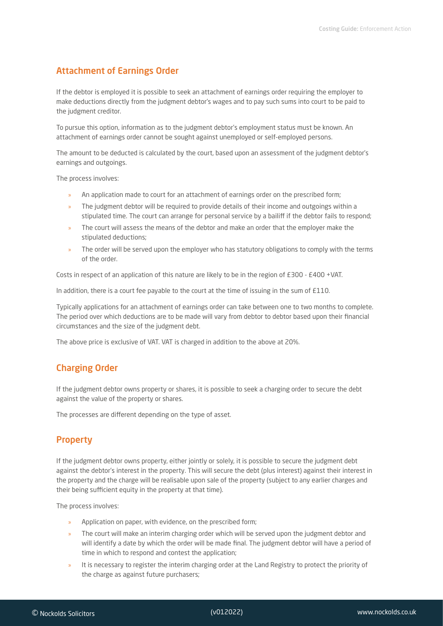# Attachment of Earnings Order

If the debtor is employed it is possible to seek an attachment of earnings order requiring the employer to make deductions directly from the judgment debtor's wages and to pay such sums into court to be paid to the judgment creditor.

To pursue this option, information as to the judgment debtor's employment status must be known. An attachment of earnings order cannot be sought against unemployed or self-employed persons.

The amount to be deducted is calculated by the court, based upon an assessment of the judgment debtor's earnings and outgoings.

The process involves:

- » An application made to court for an attachment of earnings order on the prescribed form;
- » The judgment debtor will be required to provide details of their income and outgoings within a stipulated time. The court can arrange for personal service by a bailiff if the debtor fails to respond;
- » The court will assess the means of the debtor and make an order that the employer make the stipulated deductions;
- » The order will be served upon the employer who has statutory obligations to comply with the terms of the order.

Costs in respect of an application of this nature are likely to be in the region of £300 - £400 +VAT.

In addition, there is a court fee payable to the court at the time of issuing in the sum of £110.

Typically applications for an attachment of earnings order can take between one to two months to complete. The period over which deductions are to be made will vary from debtor to debtor based upon their financial circumstances and the size of the judgment debt.

The above price is exclusive of VAT. VAT is charged in addition to the above at 20%.

## Charging Order

If the judgment debtor owns property or shares, it is possible to seek a charging order to secure the debt against the value of the property or shares.

The processes are different depending on the type of asset.

# **Property**

If the judgment debtor owns property, either jointly or solely, it is possible to secure the judgment debt against the debtor's interest in the property. This will secure the debt (plus interest) against their interest in the property and the charge will be realisable upon sale of the property (subject to any earlier charges and their being sufficient equity in the property at that time).

The process involves:

- » Application on paper, with evidence, on the prescribed form;
- » The court will make an interim charging order which will be served upon the judgment debtor and will identify a date by which the order will be made final. The judgment debtor will have a period of time in which to respond and contest the application;
- » It is necessary to register the interim charging order at the Land Registry to protect the priority of the charge as against future purchasers;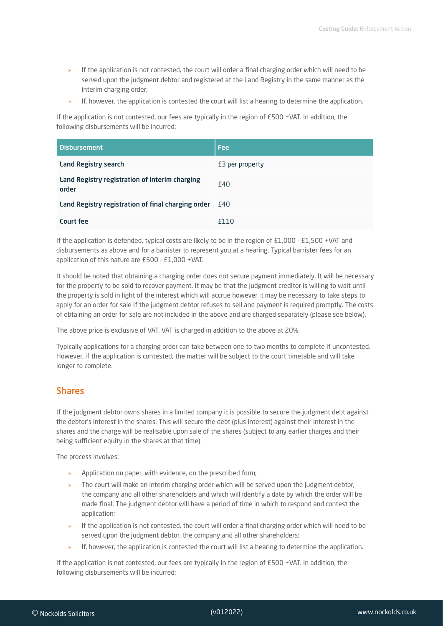- » If the application is not contested, the court will order a final charging order which will need to be served upon the judgment debtor and registered at the Land Registry in the same manner as the interim charging order;
- » If, however, the application is contested the court will list a hearing to determine the application.

If the application is not contested, our fees are typically in the region of £500 +VAT. In addition, the following disbursements will be incurred:

| <b>Disbursement</b>                                     | <b>Fee</b>      |
|---------------------------------------------------------|-----------------|
| <b>Land Registry search</b>                             | E3 per property |
| Land Registry registration of interim charging<br>order | £40             |
| Land Registry registration of final charging order £40  |                 |
| Court fee                                               | £110            |

If the application is defended, typical costs are likely to be in the region of  $£1,000 - £1,500 +VAT$  and disbursements as above and for a barrister to represent you at a hearing. Typical barrister fees for an application of this nature are £500 - £1,000 +VAT.

It should be noted that obtaining a charging order does not secure payment immediately. It will be necessary for the property to be sold to recover payment. It may be that the judgment creditor is willing to wait until the property is sold in light of the interest which will accrue however it may be necessary to take steps to apply for an order for sale if the judgment debtor refuses to sell and payment is required promptly. The costs of obtaining an order for sale are not included in the above and are charged separately (please see below).

The above price is exclusive of VAT. VAT is charged in addition to the above at 20%.

Typically applications for a charging order can take between one to two months to complete if uncontested. However, if the application is contested, the matter will be subject to the court timetable and will take longer to complete.

## Shares

If the judgment debtor owns shares in a limited company it is possible to secure the judgment debt against the debtor's interest in the shares. This will secure the debt (plus interest) against their interest in the shares and the charge will be realisable upon sale of the shares (subject to any earlier charges and their being sufficient equity in the shares at that time).

The process involves:

- » Application on paper, with evidence, on the prescribed form;
- » The court will make an interim charging order which will be served upon the judgment debtor, the company and all other shareholders and which will identify a date by which the order will be made final. The judgment debtor will have a period of time in which to respond and contest the application;
- If the application is not contested, the court will order a final charging order which will need to be served upon the judgment debtor, the company and all other shareholders;
- » If, however, the application is contested the court will list a hearing to determine the application.

If the application is not contested, our fees are typically in the region of £500 +VAT. In addition, the following disbursements will be incurred: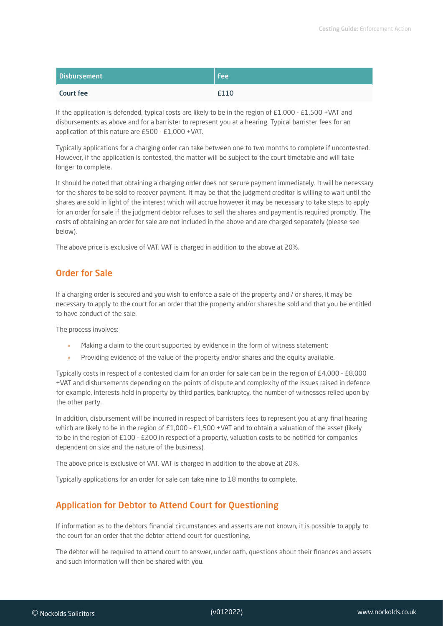| <b>Disbursement</b> | l Feel |
|---------------------|--------|
| <b>Court fee</b>    | £110   |

If the application is defended, typical costs are likely to be in the region of  $E1,000 - E1,500 + VAT$  and disbursements as above and for a barrister to represent you at a hearing. Typical barrister fees for an application of this nature are £500 - £1,000 +VAT.

Typically applications for a charging order can take between one to two months to complete if uncontested. However, if the application is contested, the matter will be subject to the court timetable and will take longer to complete.

It should be noted that obtaining a charging order does not secure payment immediately. It will be necessary for the shares to be sold to recover payment. It may be that the judgment creditor is willing to wait until the shares are sold in light of the interest which will accrue however it may be necessary to take steps to apply for an order for sale if the judgment debtor refuses to sell the shares and payment is required promptly. The costs of obtaining an order for sale are not included in the above and are charged separately (please see below).

The above price is exclusive of VAT. VAT is charged in addition to the above at 20%.

# Order for Sale

If a charging order is secured and you wish to enforce a sale of the property and / or shares, it may be necessary to apply to the court for an order that the property and/or shares be sold and that you be entitled to have conduct of the sale.

The process involves:

- » Making a claim to the court supported by evidence in the form of witness statement;
- » Providing evidence of the value of the property and/or shares and the equity available.

Typically costs in respect of a contested claim for an order for sale can be in the region of £4,000 - £8,000 +VAT and disbursements depending on the points of dispute and complexity of the issues raised in defence for example, interests held in property by third parties, bankruptcy, the number of witnesses relied upon by the other party.

In addition, disbursement will be incurred in respect of barristers fees to represent you at any final hearing which are likely to be in the region of £1,000 - £1,500 +VAT and to obtain a valuation of the asset (likely to be in the region of £100 - £200 in respect of a property, valuation costs to be notified for companies dependent on size and the nature of the business).

The above price is exclusive of VAT. VAT is charged in addition to the above at 20%.

Typically applications for an order for sale can take nine to 18 months to complete.

# Application for Debtor to Attend Court for Questioning

If information as to the debtors financial circumstances and asserts are not known, it is possible to apply to the court for an order that the debtor attend court for questioning.

The debtor will be required to attend court to answer, under oath, questions about their finances and assets and such information will then be shared with you.